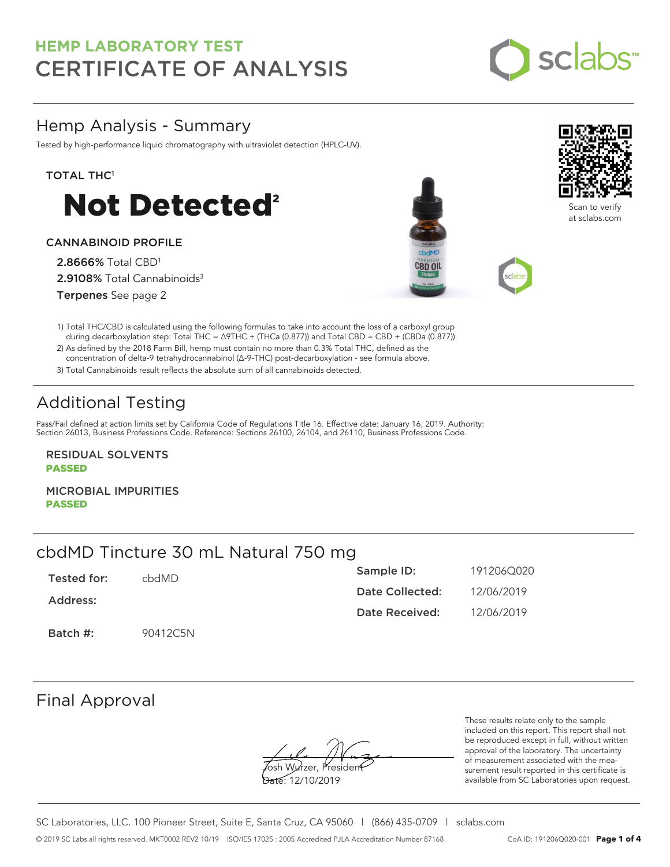

### Hemp Analysis - Summary

Tested by high-performance liquid chromatography with ultraviolet detection (HPLC-UV).

#### TOTAL THC<sup>1</sup>



#### CANNABINOID PROFILE

2.8666% Total CBD<sup>1</sup> 2.9108% Total Cannabinoids<sup>3</sup> Terpenes See page 2





 during decarboxylation step: Total THC = ∆9THC + (THCa (0.877)) and Total CBD = CBD + (CBDa (0.877)). 2) As defined by the 2018 Farm Bill, hemp must contain no more than 0.3% Total THC, defined as the concentration of delta-9 tetrahydrocannabinol (Δ-9-THC) post-decarboxylation - see formula above.

3) Total Cannabinoids result reflects the absolute sum of all cannabinoids detected.

# Additional Testing

Pass/Fail defined at action limits set by California Code of Regulations Title 16. Effective date: January 16, 2019. Authority: Section 26013, Business Professions Code. Reference: Sections 26100, 26104, and 26110, Business Professions Code.

RESIDUAL SOLVENTS PASSED

MICROBIAL IMPURITIES PASSED

## cbdMD Tincture 30 mL Natural 750 mg

| Tested for: | chdMD.   | Sample ID:      | 191206Q020 |
|-------------|----------|-----------------|------------|
| Address:    |          | Date Collected: | 12/06/2019 |
|             |          | Date Received:  | 12/06/2019 |
| Batch #:    | 90412C5N |                 |            |

### Final Approval

Josh Wurzer, President

Date: 12/10/2019

These results relate only to the sample included on this report. This report shall not be reproduced except in full, without written approval of the laboratory. The uncertainty of measurement associated with the measurement result reported in this certificate is available from SC Laboratories upon request.

SC Laboratories, LLC. 100 Pioneer Street, Suite E, Santa Cruz, CA 95060 | (866) 435-0709 | sclabs.com © 2019 SC Labs all rights reserved. MKT0002 REV2 10/19 ISO/IES 17025 : 2005 Accredited PJLA Accreditation Number 87168 CoA ID: 191206Q020-001 **Page 1 of 4**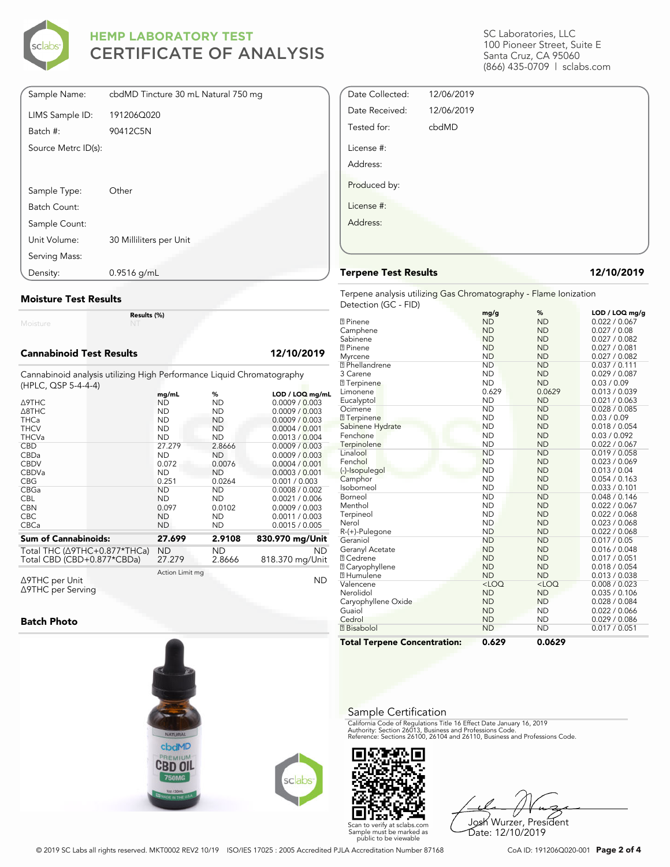

| Sample Name:        | cbdMD Tincture 30 mL Natural 750 mg |
|---------------------|-------------------------------------|
| LIMS Sample ID:     | 191206Q020                          |
| Batch #:            | 90412C5N                            |
| Source Metrc ID(s): |                                     |
|                     |                                     |
| Sample Type:        | Other                               |
| Batch Count:        |                                     |
| Sample Count:       |                                     |
| Unit Volume:        | 30 Milliliters per Unit             |
| Serving Mass:       |                                     |
| Density:            | $0.9516$ g/mL                       |

#### Moisture Test Results

Moisture

#### Cannabinoid Test Results 12/10/2019

Cannabinoid analysis utilizing High Performance Liquid Chromatography (HPLC, QSP 5-4-4-4)

Results (%)

|                                      | mq/mL           | %         | LOD / LOQ mg/mL |
|--------------------------------------|-----------------|-----------|-----------------|
| $\triangle$ 9THC                     | ND              | ND        | 0.0009 / 0.003  |
| A8THC                                | <b>ND</b>       | <b>ND</b> | 0.0009 / 0.003  |
| <b>THCa</b>                          | <b>ND</b>       | ND.       | 0.0009 / 0.003  |
| <b>THCV</b>                          | <b>ND</b>       | ND        | 0.0004 / 0.001  |
| <b>THCVa</b>                         | <b>ND</b>       | <b>ND</b> | 0.0013 / 0.004  |
| <b>CBD</b>                           | 27.279          | 2.8666    | 0.0009 / 0.003  |
| CBDa                                 | <b>ND</b>       | <b>ND</b> | 0.0009 / 0.003  |
| <b>CBDV</b>                          | 0.072           | 0.0076    | 0.0004 / 0.001  |
| <b>CBDVa</b>                         | <b>ND</b>       | <b>ND</b> | 0.0003 / 0.001  |
| <b>CBG</b>                           | 0.251           | 0.0264    | 0.001 / 0.003   |
| CBGa                                 | ND              | ND        | 0.0008 / 0.002  |
| <b>CBL</b>                           | <b>ND</b>       | ND        | 0.0021 / 0.006  |
| <b>CBN</b>                           | 0.097           | 0.0102    | 0.0009 / 0.003  |
| <b>CBC</b>                           | <b>ND</b>       | <b>ND</b> | 0.0011 / 0.003  |
| <b>CBCa</b>                          | <b>ND</b>       | ND        | 0.0015 / 0.005  |
| <b>Sum of Cannabinoids:</b>          | 27.699          | 2.9108    | 830.970 mg/Unit |
|                                      |                 |           |                 |
| Total THC $(\Delta$ 9THC+0.877*THCa) | <b>ND</b>       | ND.       | <b>ND</b>       |
| Total CBD (CBD+0.877*CBDa)           | 27.279          | 2.8666    | 818.370 mg/Unit |
|                                      | Action Limit mg |           |                 |
| ∆9THC per Unit                       |                 |           | <b>ND</b>       |

Δ9THC per Unit Δ9THC per Serving

#### Batch Photo



SC Laboratories, LLC 100 Pioneer Street, Suite E Santa Cruz, CA 95060 (866) 435-0709 | sclabs.com

| Date Collected: | 12/06/2019 |  |
|-----------------|------------|--|
| Date Received:  | 12/06/2019 |  |
| Tested for:     | cbdMD      |  |
| License #:      |            |  |
| Address:        |            |  |
| Produced by:    |            |  |
| License #:      |            |  |
| Address:        |            |  |
|                 |            |  |
|                 |            |  |

#### Terpene Test Results 12/10/2019

Terpene analysis utilizing Gas Chromatography - Flame Ionization Detection (GC - FID)

|                                     | mg/g      | %         | LOD / LOQ mg/g |
|-------------------------------------|-----------|-----------|----------------|
| <b>77 Pinene</b>                    | <b>ND</b> | <b>ND</b> | 0.022 / 0.067  |
| Camphene                            | <b>ND</b> | <b>ND</b> | 0.027 / 0.08   |
| Sabinene                            | <b>ND</b> | <b>ND</b> | 0.027 / 0.082  |
| <b>7</b> Pinene                     | <b>ND</b> | <b>ND</b> | 0.027 / 0.081  |
| Myrcene                             | <b>ND</b> | <b>ND</b> | 0.027 / 0.082  |
| <sup>2</sup> Phellandrene           | <b>ND</b> | <b>ND</b> | 0.037 / 0.111  |
| 3 Carene                            | <b>ND</b> | <b>ND</b> | 0.029 / 0.087  |
| <b>7</b> Terpinene                  | <b>ND</b> | <b>ND</b> | 0.03 / 0.09    |
| Limonene                            | 0.629     | 0.0629    | 0.013 / 0.039  |
| Eucalyptol                          | <b>ND</b> | <b>ND</b> | 0.021 / 0.063  |
| Ocimene                             | <b>ND</b> | <b>ND</b> | 0.028 / 0.085  |
| 7 Terpinene                         | <b>ND</b> | <b>ND</b> | 0.03 / 0.09    |
| Sabinene Hydrate                    | <b>ND</b> | <b>ND</b> | 0.018 / 0.054  |
| Fenchone                            | <b>ND</b> | <b>ND</b> | 0.03 / 0.092   |
| Terpinolene                         | <b>ND</b> | <b>ND</b> | 0.022 / 0.067  |
| Linalool                            | <b>ND</b> | <b>ND</b> | 0.019 / 0.058  |
| Fenchol                             | <b>ND</b> | <b>ND</b> | 0.023 / 0.069  |
| (-)-Isopulegol                      | <b>ND</b> | <b>ND</b> | 0.013 / 0.04   |
| Camphor                             | <b>ND</b> | <b>ND</b> | 0.054 / 0.163  |
| Isoborneol                          | <b>ND</b> | <b>ND</b> | 0.033 / 0.101  |
| Borneol                             | <b>ND</b> | <b>ND</b> | 0.048 / 0.146  |
| Menthol                             | <b>ND</b> | <b>ND</b> | 0.022 / 0.067  |
| Terpineol                           | <b>ND</b> | <b>ND</b> | 0.022 / 0.068  |
| Nerol                               | <b>ND</b> | <b>ND</b> | 0.023 / 0.068  |
| R-(+)-Pulegone                      | <b>ND</b> | <b>ND</b> | 0.022 / 0.068  |
| Geraniol                            | <b>ND</b> | <b>ND</b> | 0.017 / 0.05   |
| Geranyl Acetate                     | <b>ND</b> | <b>ND</b> | 0.016 / 0.048  |
| <b>7 Cedrene</b>                    | <b>ND</b> | <b>ND</b> | 0.017 / 0.051  |
| <b>7 Caryophyllene</b>              | <b>ND</b> | <b>ND</b> | 0.018 / 0.054  |
| <b>7 Humulene</b>                   | <b>ND</b> | <b>ND</b> | 0.013 / 0.038  |
| Valencene                           | $<$ LOQ   | $<$ LOQ   | 0.008 / 0.023  |
| Nerolidol                           | <b>ND</b> | <b>ND</b> | 0.035 / 0.106  |
| Caryophyllene Oxide                 | <b>ND</b> | <b>ND</b> | 0.028 / 0.084  |
| Guaiol                              | <b>ND</b> | <b>ND</b> | 0.022 / 0.066  |
| Cedrol                              | <b>ND</b> | <b>ND</b> | 0.029 / 0.086  |
| <b>7</b> Bisabolol                  | <b>ND</b> | <b>ND</b> | 0.017 / 0.051  |
| <b>Total Terpene Concentration:</b> | 0.629     | 0.0629    |                |

#### Sample Certification

California Code of Regulations Title 16 Effect Date January 16, 2019<br>Authority: Section 26013, Business and Professions Code.<br>Reference: Sections 26100, 26104 and 26110, Business and Professions Code.



Josh Wurzer, President Date: 12/10/2019

© 2019 SC Labs all rights reserved. MKT0002 REV2 10/19 ISO/IES 17025 : 2005 Accredited PJLA Accreditation Number 87168 CoA ID: 191206Q020-001 **Page 2 of 4**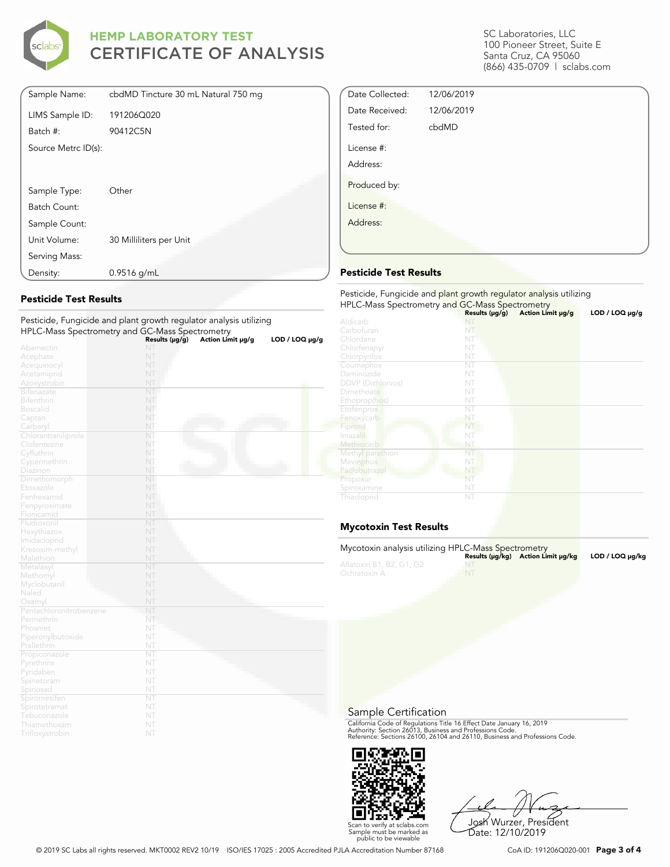

| Sample Name:        | cbdMD Tincture 30 mL Natural 750 mg |
|---------------------|-------------------------------------|
| LIMS Sample ID:     | 191206Q020                          |
| Batch #:            | 90412C5N                            |
| Source Metrc ID(s): |                                     |
|                     |                                     |
|                     |                                     |
| Sample Type:        | Other                               |
| Batch Count:        |                                     |
| Sample Count:       |                                     |
| Unit Volume:        | 30 Milliliters per Unit             |
| Serving Mass:       |                                     |
| Density:            | $0.9516$ g/mL                       |

#### Pesticide Test Results

| i esticiae, i ungiciae ana piant growth regulator analysis utilizing |                |                   |                |
|----------------------------------------------------------------------|----------------|-------------------|----------------|
| HPLC-Mass Spectrometry and GC-Mass Spectrometry                      | Results (µg/g) | Action Limit µg/g | LOD / LOQ µg/g |
| Abamectin                                                            | NT             |                   |                |
| Acephate                                                             | NT             |                   |                |
| Acequinocyl                                                          | NT             |                   |                |
| Acetamiprid                                                          | NT             |                   |                |
| Azoxystrobin                                                         | NT             |                   |                |
| <b>Bifenazate</b>                                                    | NT             |                   |                |
| <b>Bifenthrin</b>                                                    | NT             |                   |                |
| <b>Boscalid</b>                                                      | NT             |                   |                |
| Captan                                                               | NT             |                   |                |
| Carbaryl                                                             | NT             |                   |                |
| Chlorantraniliprole                                                  | NT             |                   |                |
| Clofentezine                                                         | NT             |                   |                |
| Cyfluthrin                                                           | NT             |                   |                |
| Cypermethrin                                                         | NT             |                   |                |
| Diazinon                                                             | NT             |                   |                |
| Dimethomorph                                                         | NT             |                   |                |
| Etoxazole                                                            | NT             |                   |                |
| Fenhexamid                                                           | NT             |                   |                |
| Fenpyroximate                                                        | NT             |                   |                |
| Flonicamid                                                           | NT             |                   |                |
| Fludioxonil                                                          | NT<br>NT       |                   |                |
| Hexythiazox                                                          | NT             |                   |                |
| Imidacloprid                                                         | NT             |                   |                |
| Kresoxim-methyl                                                      | NT             |                   |                |
| Malathion<br>Metalaxyl                                               | NT             |                   |                |
| Methomyl                                                             | NT             |                   |                |
| Myclobutanil                                                         | NT             |                   |                |
| Naled                                                                | NT             |                   |                |
| Oxamyl                                                               | NT             |                   |                |
| Pentachloronitrobenzene                                              | NT             |                   |                |
| Permethrin                                                           | NT             |                   |                |
| Phosmet                                                              | NT             |                   |                |
| Piperonylbutoxide                                                    | NT             |                   |                |
| Prallethrin                                                          | NT             |                   |                |
| Propiconazole                                                        | NT             |                   |                |
| Pyrethrins                                                           | NT             |                   |                |
| Pyridaben                                                            | NT             |                   |                |
| Spinetoram                                                           | NT             |                   |                |
| Spinosad                                                             | NT             |                   |                |
| Spiromesifen                                                         | NT             |                   |                |
| Spirotetramat                                                        | NT             |                   |                |
| Tebuconazole                                                         | NT             |                   |                |
| Thiamethoxam                                                         | NT             |                   |                |
| Trifloxystrobin                                                      | NT             |                   |                |

Pesticide, Fungicide and plant growth regulator analysis utilizing

#### SC Laboratories, LLC 100 Pioneer Street, Suite E Santa Cruz, CA 95060 (866) 435-0709 | sclabs.com

| Date Collected: | 12/06/2019 |  |
|-----------------|------------|--|
| Date Received:  | 12/06/2019 |  |
| Tested for:     | cbdMD      |  |
| License #:      |            |  |
| Address:        |            |  |
| Produced by:    |            |  |
| License #:      |            |  |
| Address:        |            |  |
|                 |            |  |

#### Pesticide Test Results

| Pesticide, Fungicide and plant growth regulator analysis utilizing<br>HPLC-Mass Spectrometry and GC-Mass Spectrometry |                     |                   |                     |  |
|-----------------------------------------------------------------------------------------------------------------------|---------------------|-------------------|---------------------|--|
|                                                                                                                       | Results $(\mu g/g)$ | Action Limit µg/g | $LOD / LOQ \mu g/g$ |  |
| Aldicarb                                                                                                              |                     |                   |                     |  |
| Carbofuran                                                                                                            | NT                  |                   |                     |  |
| Chlordane                                                                                                             | NT                  |                   |                     |  |
| Chlorfenapyr                                                                                                          | NT                  |                   |                     |  |
| Chlorpyrifos                                                                                                          | NT                  |                   |                     |  |
| Coumaphos                                                                                                             | NT                  |                   |                     |  |
| Daminozide                                                                                                            | NT                  |                   |                     |  |
| <b>DDVP</b> (Dichlorvos)                                                                                              | NT                  |                   |                     |  |
| Dimethoate                                                                                                            | NT                  |                   |                     |  |
| Ethoprop(hos)                                                                                                         | NT                  |                   |                     |  |
| Etofenprox                                                                                                            | NT                  |                   |                     |  |
| Fenoxycarb                                                                                                            | NT                  |                   |                     |  |
| Fipronil                                                                                                              | NT                  |                   |                     |  |
| Imazalil                                                                                                              | NT                  |                   |                     |  |
| Methiocarb                                                                                                            | NT                  |                   |                     |  |
| Methyl parathion                                                                                                      | NT                  |                   |                     |  |
| Mevinphos                                                                                                             | NT                  |                   |                     |  |
| Paclobutrazol                                                                                                         | NT                  |                   |                     |  |
| Propoxur                                                                                                              | NT                  |                   |                     |  |
| Spiroxamine                                                                                                           | NT                  |                   |                     |  |
| Thiacloprid                                                                                                           | NT                  |                   |                     |  |

### Mycotoxin Test Results

| Mycotoxin analysis utilizing HPLC-Mass Spectrometry |    | Results (µq/kq) Action Limit µq/kq | LOD / LOQ µq/kg |
|-----------------------------------------------------|----|------------------------------------|-----------------|
| Aflatoxin B1, B2, G1, G2<br>Ochratoxin A            | NT |                                    |                 |
|                                                     |    |                                    |                 |

#### Sample Certification

California Code of Regulations Title 16 Effect Date January 16, 2019<br>Authority: Section 26013, Business and Professions Code.<br>Reference: Sections 26100, 26104 and 26110, Business and Professions Code.



Josh Wurzer, President Date: 12/10/2019